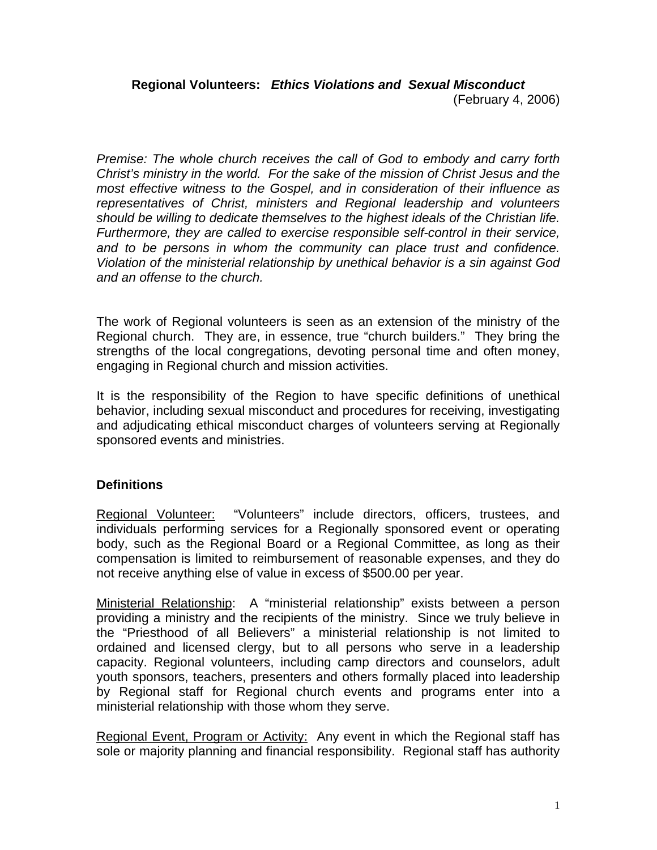*Premise: The whole church receives the call of God to embody and carry forth Christ's ministry in the world. For the sake of the mission of Christ Jesus and the most effective witness to the Gospel, and in consideration of their influence as representatives of Christ, ministers and Regional leadership and volunteers should be willing to dedicate themselves to the highest ideals of the Christian life. Furthermore, they are called to exercise responsible self-control in their service, and to be persons in whom the community can place trust and confidence. Violation of the ministerial relationship by unethical behavior is a sin against God and an offense to the church.* 

The work of Regional volunteers is seen as an extension of the ministry of the Regional church. They are, in essence, true "church builders." They bring the strengths of the local congregations, devoting personal time and often money, engaging in Regional church and mission activities.

It is the responsibility of the Region to have specific definitions of unethical behavior, including sexual misconduct and procedures for receiving, investigating and adjudicating ethical misconduct charges of volunteers serving at Regionally sponsored events and ministries.

## **Definitions**

Regional Volunteer: "Volunteers" include directors, officers, trustees, and individuals performing services for a Regionally sponsored event or operating body, such as the Regional Board or a Regional Committee, as long as their compensation is limited to reimbursement of reasonable expenses, and they do not receive anything else of value in excess of \$500.00 per year.

Ministerial Relationship: A "ministerial relationship" exists between a person providing a ministry and the recipients of the ministry. Since we truly believe in the "Priesthood of all Believers" a ministerial relationship is not limited to ordained and licensed clergy, but to all persons who serve in a leadership capacity. Regional volunteers, including camp directors and counselors, adult youth sponsors, teachers, presenters and others formally placed into leadership by Regional staff for Regional church events and programs enter into a ministerial relationship with those whom they serve.

Regional Event, Program or Activity: Any event in which the Regional staff has sole or majority planning and financial responsibility. Regional staff has authority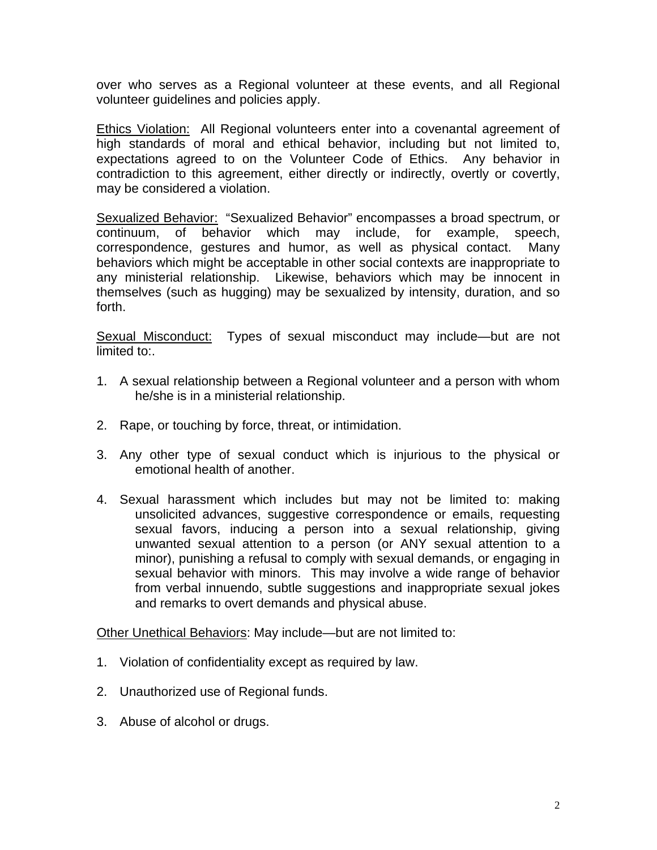over who serves as a Regional volunteer at these events, and all Regional volunteer guidelines and policies apply.

**Ethics Violation:** All Regional volunteers enter into a covenantal agreement of high standards of moral and ethical behavior, including but not limited to, expectations agreed to on the Volunteer Code of Ethics. Any behavior in contradiction to this agreement, either directly or indirectly, overtly or covertly, may be considered a violation.

Sexualized Behavior: "Sexualized Behavior" encompasses a broad spectrum, or continuum, of behavior which may include, for example, speech, correspondence, gestures and humor, as well as physical contact. Many behaviors which might be acceptable in other social contexts are inappropriate to any ministerial relationship. Likewise, behaviors which may be innocent in themselves (such as hugging) may be sexualized by intensity, duration, and so forth.

Sexual Misconduct: Types of sexual misconduct may include—but are not limited to:.

- 1. A sexual relationship between a Regional volunteer and a person with whom he/she is in a ministerial relationship.
- 2. Rape, or touching by force, threat, or intimidation.
- 3. Any other type of sexual conduct which is injurious to the physical or emotional health of another.
- 4. Sexual harassment which includes but may not be limited to: making unsolicited advances, suggestive correspondence or emails, requesting sexual favors, inducing a person into a sexual relationship, giving unwanted sexual attention to a person (or ANY sexual attention to a minor), punishing a refusal to comply with sexual demands, or engaging in sexual behavior with minors. This may involve a wide range of behavior from verbal innuendo, subtle suggestions and inappropriate sexual jokes and remarks to overt demands and physical abuse.

Other Unethical Behaviors: May include—but are not limited to:

- 1. Violation of confidentiality except as required by law.
- 2. Unauthorized use of Regional funds.
- 3. Abuse of alcohol or drugs.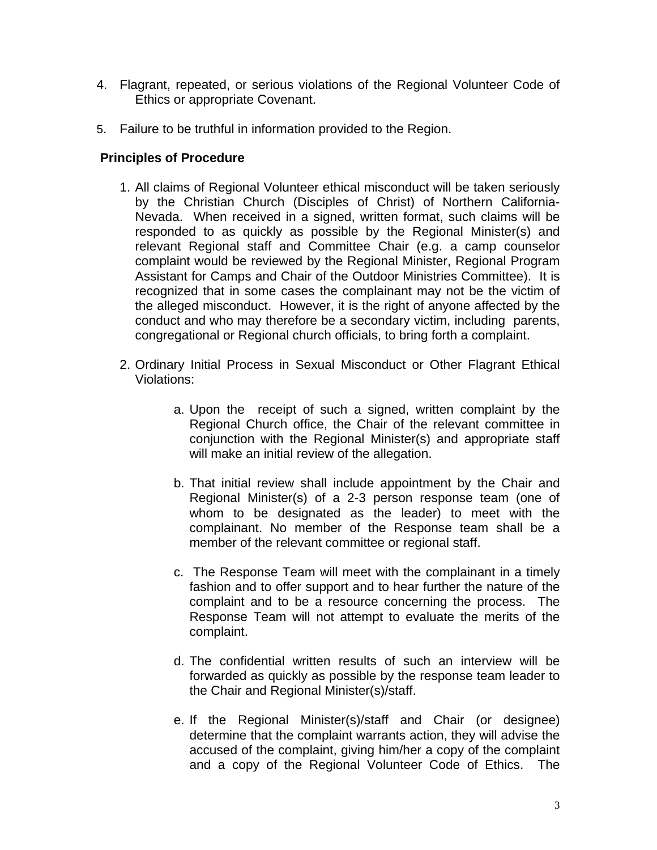- 4. Flagrant, repeated, or serious violations of the Regional Volunteer Code of Ethics or appropriate Covenant.
- 5. Failure to be truthful in information provided to the Region.

## **Principles of Procedure**

- 1. All claims of Regional Volunteer ethical misconduct will be taken seriously by the Christian Church (Disciples of Christ) of Northern California-Nevada. When received in a signed, written format, such claims will be responded to as quickly as possible by the Regional Minister(s) and relevant Regional staff and Committee Chair (e.g. a camp counselor complaint would be reviewed by the Regional Minister, Regional Program Assistant for Camps and Chair of the Outdoor Ministries Committee). It is recognized that in some cases the complainant may not be the victim of the alleged misconduct. However, it is the right of anyone affected by the conduct and who may therefore be a secondary victim, including parents, congregational or Regional church officials, to bring forth a complaint.
- 2. Ordinary Initial Process in Sexual Misconduct or Other Flagrant Ethical Violations:
	- a. Upon the receipt of such a signed, written complaint by the Regional Church office, the Chair of the relevant committee in conjunction with the Regional Minister(s) and appropriate staff will make an initial review of the allegation.
	- b. That initial review shall include appointment by the Chair and Regional Minister(s) of a 2-3 person response team (one of whom to be designated as the leader) to meet with the complainant. No member of the Response team shall be a member of the relevant committee or regional staff.
	- c. The Response Team will meet with the complainant in a timely fashion and to offer support and to hear further the nature of the complaint and to be a resource concerning the process. The Response Team will not attempt to evaluate the merits of the complaint.
	- d. The confidential written results of such an interview will be forwarded as quickly as possible by the response team leader to the Chair and Regional Minister(s)/staff.
	- e. If the Regional Minister(s)/staff and Chair (or designee) determine that the complaint warrants action, they will advise the accused of the complaint, giving him/her a copy of the complaint and a copy of the Regional Volunteer Code of Ethics. The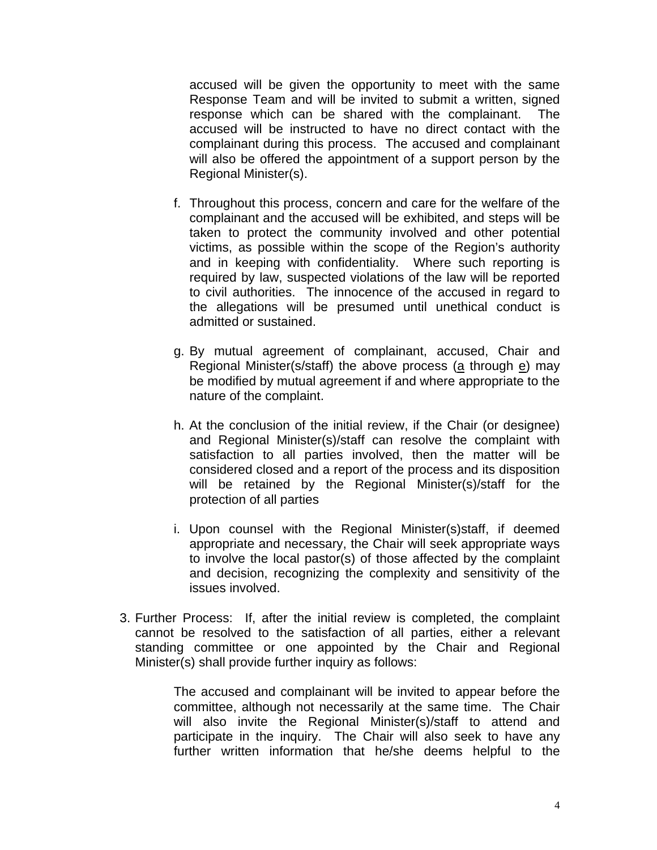accused will be given the opportunity to meet with the same Response Team and will be invited to submit a written, signed response which can be shared with the complainant. The accused will be instructed to have no direct contact with the complainant during this process. The accused and complainant will also be offered the appointment of a support person by the Regional Minister(s).

- f. Throughout this process, concern and care for the welfare of the complainant and the accused will be exhibited, and steps will be taken to protect the community involved and other potential victims, as possible within the scope of the Region's authority and in keeping with confidentiality. Where such reporting is required by law, suspected violations of the law will be reported to civil authorities. The innocence of the accused in regard to the allegations will be presumed until unethical conduct is admitted or sustained.
- g. By mutual agreement of complainant, accused, Chair and Regional Minister(s/staff) the above process (a through e) may be modified by mutual agreement if and where appropriate to the nature of the complaint.
- h. At the conclusion of the initial review, if the Chair (or designee) and Regional Minister(s)/staff can resolve the complaint with satisfaction to all parties involved, then the matter will be considered closed and a report of the process and its disposition will be retained by the Regional Minister(s)/staff for the protection of all parties
- i. Upon counsel with the Regional Minister(s)staff, if deemed appropriate and necessary, the Chair will seek appropriate ways to involve the local pastor(s) of those affected by the complaint and decision, recognizing the complexity and sensitivity of the issues involved.
- 3. Further Process: If, after the initial review is completed, the complaint cannot be resolved to the satisfaction of all parties, either a relevant standing committee or one appointed by the Chair and Regional Minister(s) shall provide further inquiry as follows:

The accused and complainant will be invited to appear before the committee, although not necessarily at the same time. The Chair will also invite the Regional Minister(s)/staff to attend and participate in the inquiry. The Chair will also seek to have any further written information that he/she deems helpful to the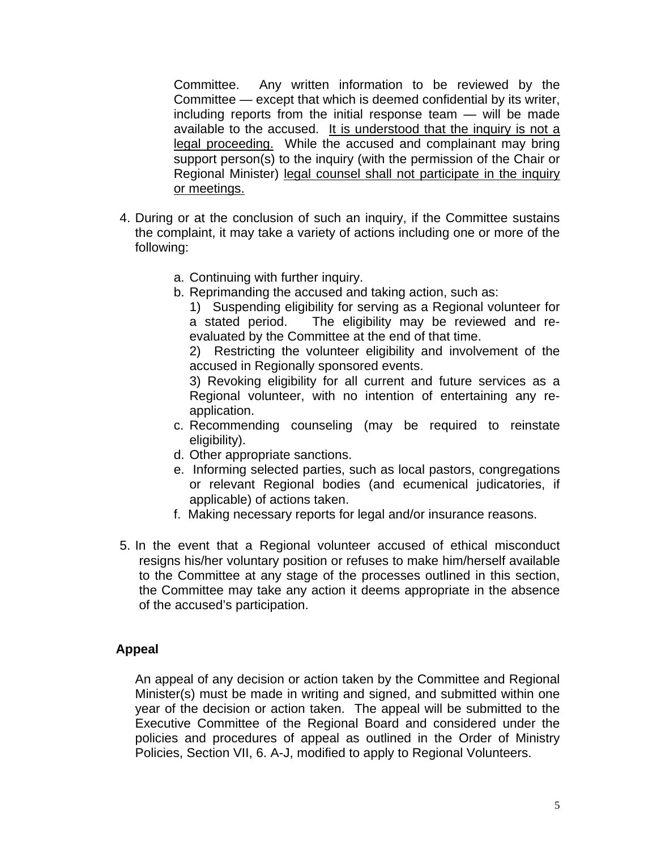Committee. Any written information to be reviewed by the Committee — except that which is deemed confidential by its writer, including reports from the initial response team — will be made available to the accused. It is understood that the inquiry is not a legal proceeding. While the accused and complainant may bring support person(s) to the inquiry (with the permission of the Chair or Regional Minister) legal counsel shall not participate in the inquiry or meetings.

- 4. During or at the conclusion of such an inquiry, if the Committee sustains the complaint, it may take a variety of actions including one or more of the following:
	- a. Continuing with further inquiry.
	- b. Reprimanding the accused and taking action, such as:

 1) Suspending eligibility for serving as a Regional volunteer for a stated period. The eligibility may be reviewed and reevaluated by the Committee at the end of that time.

 2) Restricting the volunteer eligibility and involvement of the accused in Regionally sponsored events.

 3) Revoking eligibility for all current and future services as a Regional volunteer, with no intention of entertaining any reapplication.

- c. Recommending counseling (may be required to reinstate eligibility).
- d. Other appropriate sanctions.
- e. Informing selected parties, such as local pastors, congregations or relevant Regional bodies (and ecumenical judicatories, if applicable) of actions taken.
- f. Making necessary reports for legal and/or insurance reasons.
- 5. In the event that a Regional volunteer accused of ethical misconduct resigns his/her voluntary position or refuses to make him/herself available to the Committee at any stage of the processes outlined in this section, the Committee may take any action it deems appropriate in the absence of the accused's participation.

## **Appeal**

An appeal of any decision or action taken by the Committee and Regional Minister(s) must be made in writing and signed, and submitted within one year of the decision or action taken. The appeal will be submitted to the Executive Committee of the Regional Board and considered under the policies and procedures of appeal as outlined in the Order of Ministry Policies, Section VII, 6. A-J, modified to apply to Regional Volunteers.